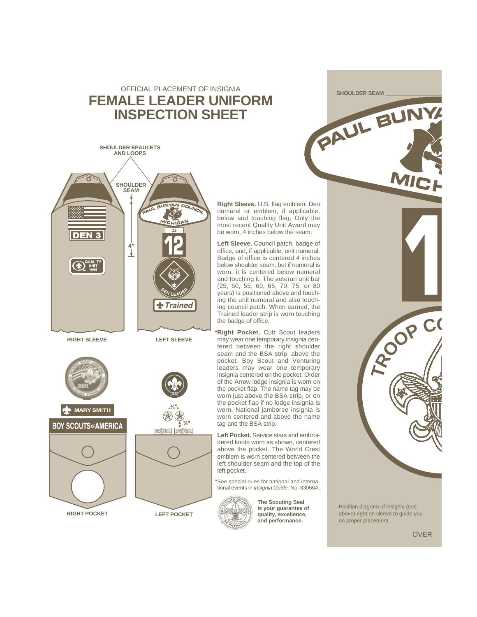## OFFICIAL PLACEMENT OF INSIGNIA **FEMALE LEADER UNIFORM INSPECTION SHEET**



**ON MARY SMITH** 





**⁄4"**



**LEFT POCKET**

**Right Sleeve.** U.S. flag emblem. Den numeral or emblem, if applicable, below and touching flag. Only the most recent Quality Unit Award may be worn, 4 inches below the seam.

**Left Sleeve.** Council patch, badge of office, and, if applicable, unit numeral. Badge of office is centered 4 inches below shoulder seam, but if numeral is worn, it is centered below numeral and touching it. The veteran unit bar (25, 50, 55, 60, 65, 70, 75, or 80 years) is positioned above and touching the unit numeral and also touching council patch. When earned, the Trained leader strip is worn touching the badge of office.

**\*Right Pocket.** Cub Scout leaders may wear one temporary insignia centered between the right shoulder seam and the BSA strip, above the pocket. Boy Scout and Venturing leaders may wear one temporary insignia centered on the pocket. Order of the Arrow lodge insignia is worn on the pocket flap. The name tag may be worn just above the BSA strip, or on the pocket flap if no lodge insignia is worn. National jamboree insignia is worn centered and above the name tag and the BSA strip.

**Left Pocket.** Service stars and embroidered knots worn as shown, centered above the pocket. The World Crest emblem is worn centered between the left shoulder seam and the top of the left pocket.

\*See special rules for national and international events in Insignia Guide, No. 33066A.



**The Scouting Seal is your guarantee of quality, excellence, and performance.**

Position diagram of insignia (see above) right on sleeve to guide you on proper placement.

**SHOULDER SEAM \_\_\_\_\_\_\_\_\_\_\_\_\_\_\_\_\_\_\_**

**PAU<sup>L</sup> <sup>B</sup>UNY<sup>A</sup>**

**MICH** 

OVER

**<sup>C</sup>HAIR**

**TROO<sup>P</sup> <sup>C</sup><sup>O</sup>**